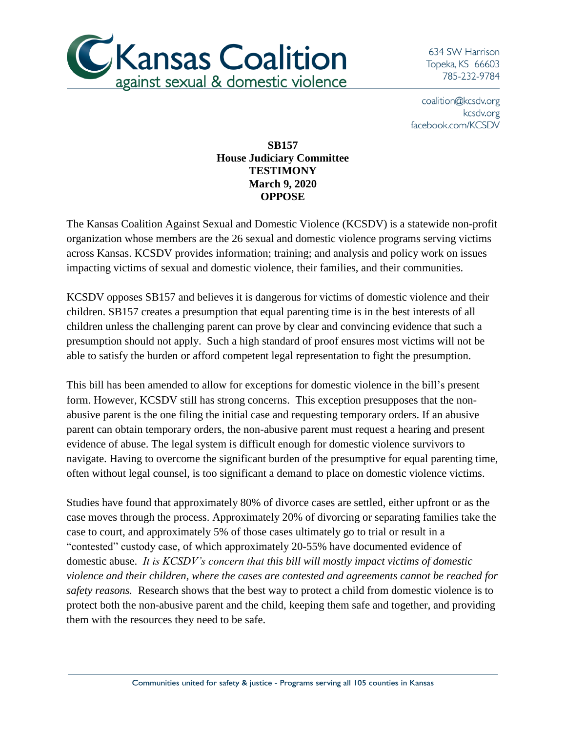

634 SW Harrison Topeka, KS 66603 785-232-9784

coalition@kcsdv.org kcsdv.org facebook.com/KCSDV

## **SB157 House Judiciary Committee TESTIMONY March 9, 2020 OPPOSE**

The Kansas Coalition Against Sexual and Domestic Violence (KCSDV) is a statewide non-profit organization whose members are the 26 sexual and domestic violence programs serving victims across Kansas. KCSDV provides information; training; and analysis and policy work on issues impacting victims of sexual and domestic violence, their families, and their communities.

KCSDV opposes SB157 and believes it is dangerous for victims of domestic violence and their children. SB157 creates a presumption that equal parenting time is in the best interests of all children unless the challenging parent can prove by clear and convincing evidence that such a presumption should not apply. Such a high standard of proof ensures most victims will not be able to satisfy the burden or afford competent legal representation to fight the presumption.

This bill has been amended to allow for exceptions for domestic violence in the bill's present form. However, KCSDV still has strong concerns. This exception presupposes that the nonabusive parent is the one filing the initial case and requesting temporary orders. If an abusive parent can obtain temporary orders, the non-abusive parent must request a hearing and present evidence of abuse. The legal system is difficult enough for domestic violence survivors to navigate. Having to overcome the significant burden of the presumptive for equal parenting time, often without legal counsel, is too significant a demand to place on domestic violence victims.

Studies have found that approximately 80% of divorce cases are settled, either upfront or as the case moves through the process. Approximately 20% of divorcing or separating families take the case to court, and approximately 5% of those cases ultimately go to trial or result in a "contested" custody case, of which approximately 20-55% have documented evidence of domestic abuse. *It is KCSDV's concern that this bill will mostly impact victims of domestic violence and their children, where the cases are contested and agreements cannot be reached for safety reasons.* Research shows that the best way to protect a child from domestic violence is to protect both the non-abusive parent and the child, keeping them safe and together, and providing them with the resources they need to be safe.